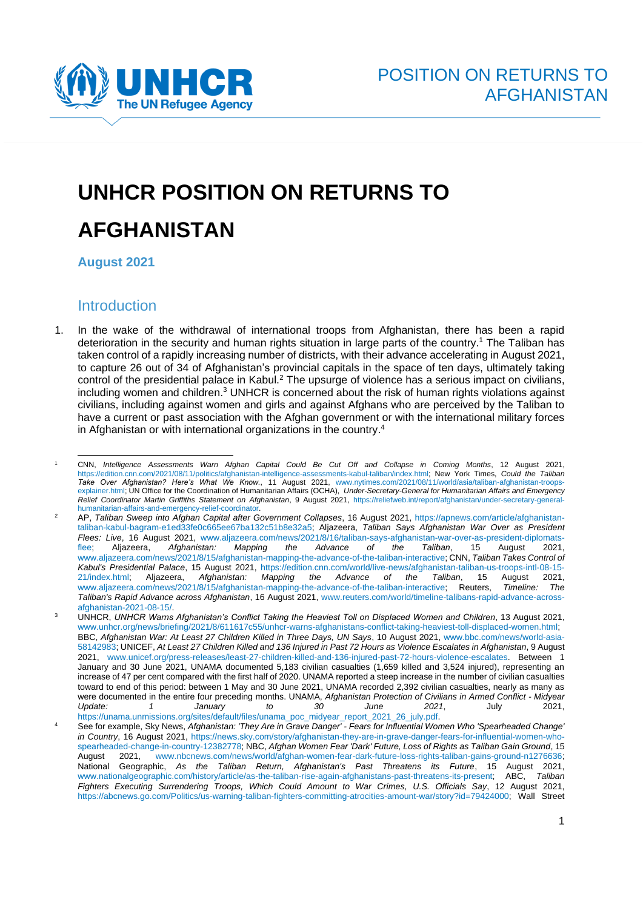

## **UNHCR POSITION ON RETURNS TO AFGHANISTAN**

**August 2021**

## Introduction

1. In the wake of the withdrawal of international troops from Afghanistan, there has been a rapid deterioration in the security and human rights situation in large parts of the country.<sup>1</sup> The Taliban has taken control of a rapidly increasing number of districts, with their advance accelerating in August 2021, to capture 26 out of 34 of Afghanistan's provincial capitals in the space of ten days, ultimately taking control of the presidential palace in Kabul.<sup>2</sup> The upsurge of violence has a serious impact on civilians, including women and children.<sup>3</sup> UNHCR is concerned about the risk of human rights violations against civilians, including against women and girls and against Afghans who are perceived by the Taliban to have a current or past association with the Afghan government or with the international military forces in Afghanistan or with international organizations in the country. 4

<sup>1</sup> CNN, *Intelligence Assessments Warn Afghan Capital Could Be Cut Off and Collapse in Coming Months*, 12 August 2021, [https://edition.cnn.com/2021/08/11/politics/afghanistan-intelligence-assessments-kabul-taliban/index.html;](https://edition.cnn.com/2021/08/11/politics/afghanistan-intelligence-assessments-kabul-taliban/index.html) New York Times, *Could the Taliban Take Over Afghanistan? Here's What We Know.*, 11 August 2021, [www.nytimes.com/2021/08/11/world/asia/taliban-afghanistan-troops](http://www.nytimes.com/2021/08/11/world/asia/taliban-afghanistan-troops-explainer.html)[explainer.html;](http://www.nytimes.com/2021/08/11/world/asia/taliban-afghanistan-troops-explainer.html) UN Office for the Coordination of Humanitarian Affairs (OCHA), *Under-Secretary-General for Humanitarian Affairs and Emergency Relief Coordinator Martin Griffiths Statement on Afghanistan*, 9 August 2021, [https://reliefweb.int/report/afghanistan/under-secretary-general](https://reliefweb.int/report/afghanistan/under-secretary-general-humanitarian-affairs-and-emergency-relief-coordinator)[humanitarian-affairs-and-emergency-relief-coordinator.](https://reliefweb.int/report/afghanistan/under-secretary-general-humanitarian-affairs-and-emergency-relief-coordinator)

<sup>2</sup> AP, *Taliban Sweep into Afghan Capital after Government Collapses*, 16 August 2021, [https://apnews.com/article/afghanistan](https://apnews.com/article/afghanistan-taliban-kabul-bagram-e1ed33fe0c665ee67ba132c51b8e32a5)[taliban-kabul-bagram-e1ed33fe0c665ee67ba132c51b8e32a5;](https://apnews.com/article/afghanistan-taliban-kabul-bagram-e1ed33fe0c665ee67ba132c51b8e32a5) Aljazeera, *Taliban Says Afghanistan War Over as President Flees: Live*, 16 August 2021, [www.aljazeera.com/news/2021/8/16/taliban-says-afghanistan-war-over-as-president-diplomats](http://www.aljazeera.com/news/2021/8/16/taliban-says-afghanistan-war-over-as-president-diplomats-flee)[flee;](http://www.aljazeera.com/news/2021/8/16/taliban-says-afghanistan-war-over-as-president-diplomats-flee) Aljazeera, Afghanistan: Mapping the Advance of the Taliban, 15 August [www.aljazeera.com/news/2021/8/15/afghanistan-mapping-the-advance-of-the-taliban-interactive;](http://www.aljazeera.com/news/2021/8/15/afghanistan-mapping-the-advance-of-the-taliban-interactive) CNN, *Taliban Takes Control of Kabul's Presidential Palace*, 15 August 2021, [https://edition.cnn.com/world/live-news/afghanistan-taliban-us-troops-intl-08-15-](https://edition.cnn.com/world/live-news/afghanistan-taliban-us-troops-intl-08-15-21/index.html) [21/index.html;](https://edition.cnn.com/world/live-news/afghanistan-taliban-us-troops-intl-08-15-21/index.html) Aljazeera, *Afghanistan: Mapping the Advance of the Taliban*, 15 August 2021, [www.aljazeera.com/news/2021/8/15/afghanistan-mapping-the-advance-of-the-taliban-interactive;](file:///C:/Users/BENADUM/AppData/Local/Microsoft/Windows/INetCache/Content.Outlook/Z3UQU2LZ/www.aljazeera.com/news/2021/8/15/afghanistan-mapping-the-advance-of-the-taliban-interactive) Reuters, *Timeline: The Taliban's Rapid Advance across Afghanistan*, 16 August 2021[, www.reuters.com/world/timeline-talibans-rapid-advance-across](http://www.reuters.com/world/timeline-talibans-rapid-advance-across-afghanistan-2021-08-15/)[afghanistan-2021-08-15/.](http://www.reuters.com/world/timeline-talibans-rapid-advance-across-afghanistan-2021-08-15/)

<sup>3</sup> UNHCR, *UNHCR Warns Afghanistan's Conflict Taking the Heaviest Toll on Displaced Women and Children*, 13 August 2021, [www.unhcr.org/news/briefing/2021/8/611617c55/unhcr-warns-afghanistans-conflict-taking-heaviest-toll-displaced-women.html;](http://www.unhcr.org/news/briefing/2021/8/611617c55/unhcr-warns-afghanistans-conflict-taking-heaviest-toll-displaced-women.html) BBC, *Afghanistan War: At Least 27 Children Killed in Three Days, UN Says*, 10 August 2021, [www.bbc.com/news/world-asia-](https://www.bbc.com/news/world-asia-58142983)[58142983;](https://www.bbc.com/news/world-asia-58142983) UNICEF, *At Least 27 Children Killed and 136 Injured in Past 72 Hours as Violence Escalates in Afghanistan*, 9 August 2021, [www.unicef.org/press-releases/least-27-children-killed-and-136-injured-past-72-hours-violence-escalates.](http://www.unicef.org/press-releases/least-27-children-killed-and-136-injured-past-72-hours-violence-escalates) Between 1 January and 30 June 2021, UNAMA documented 5,183 civilian casualties (1,659 killed and 3,524 injured), representing an increase of 47 per cent compared with the first half of 2020. UNAMA reported a steep increase in the number of civilian casualties toward to end of this period: between 1 May and 30 June 2021, UNAMA recorded 2,392 civilian casualties, nearly as many as were documented in the entire four preceding months. UNAMA, *Afghanistan Protection of Civilians in Armed Conflict - Midyear Update: 1 January to 30 June 2021*, July 2021, [https://unama.unmissions.org/sites/default/files/unama\\_poc\\_midyear\\_report\\_2021\\_26\\_july.pdf.](https://unama.unmissions.org/sites/default/files/unama_poc_midyear_report_2021_26_july.pdf) 

<sup>4</sup> See for example, Sky News, *Afghanistan: 'They Are in Grave Danger' - Fears for Influential Women Who 'Spearheaded Change' in Country*, 16 August 2021, [https://news.sky.com/story/afghanistan-they-are-in-grave-danger-fears-for-influential-women-who](https://news.sky.com/story/afghanistan-they-are-in-grave-danger-fears-for-influential-women-who-spearheaded-change-in-country-12382778)[spearheaded-change-in-country-12382778;](https://news.sky.com/story/afghanistan-they-are-in-grave-danger-fears-for-influential-women-who-spearheaded-change-in-country-12382778) NBC, *Afghan Women Fear 'Dark' Future, Loss of Rights as Taliban Gain Ground*, 15 August 2021, [www.nbcnews.com/news/world/afghan-women-fear-dark-future-loss-rights-taliban-gains-ground-n1276636;](http://www.nbcnews.com/news/world/afghan-women-fear-dark-future-loss-rights-taliban-gains-ground-n1276636) National Geographic, *As the Taliban Return, Afghanistan's Past Threatens its Future*, 15 August 2021, [www.nationalgeographic.com/history/article/as-the-taliban-rise-again-afghanistans-past-threatens-its-present;](http://www.nationalgeographic.com/history/article/as-the-taliban-rise-again-afghanistans-past-threatens-its-present) ABC, *Taliban Fighters Executing Surrendering Troops, Which Could Amount to War Crimes, U.S. Officials Say*, 12 August 2021, [https://abcnews.go.com/Politics/us-warning-taliban-fighters-committing-atrocities-amount-war/story?id=79424000;](https://abcnews.go.com/Politics/us-warning-taliban-fighters-committing-atrocities-amount-war/story?id=79424000) Wall Street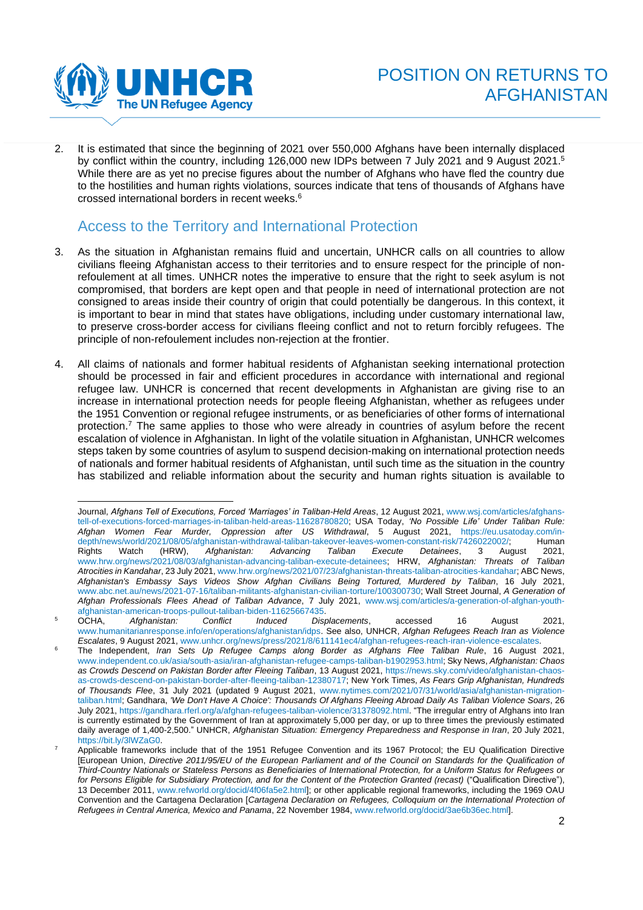

2. It is estimated that since the beginning of 2021 over 550,000 Afghans have been internally displaced by conflict within the country, including 126,000 new IDPs between 7 July 2021 and 9 August 2021.<sup>5</sup> While there are as yet no precise figures about the number of Afghans who have fled the country due to the hostilities and human rights violations, sources indicate that tens of thousands of Afghans have crossed international borders in recent weeks.<sup>6</sup>

## Access to the Territory and International Protection

- 3. As the situation in Afghanistan remains fluid and uncertain, UNHCR calls on all countries to allow civilians fleeing Afghanistan access to their territories and to ensure respect for the principle of nonrefoulement at all times. UNHCR notes the imperative to ensure that the right to seek asylum is not compromised, that borders are kept open and that people in need of international protection are not consigned to areas inside their country of origin that could potentially be dangerous. In this context, it is important to bear in mind that states have obligations, including under customary international law, to preserve cross-border access for civilians fleeing conflict and not to return forcibly refugees. The principle of non-refoulement includes non-rejection at the frontier.
- 4. All claims of nationals and former habitual residents of Afghanistan seeking international protection should be processed in fair and efficient procedures in accordance with international and regional refugee law. UNHCR is concerned that recent developments in Afghanistan are giving rise to an increase in international protection needs for people fleeing Afghanistan, whether as refugees under the 1951 Convention or regional refugee instruments, or as beneficiaries of other forms of international protection.<sup>7</sup> The same applies to those who were already in countries of asylum before the recent escalation of violence in Afghanistan. In light of the volatile situation in Afghanistan, UNHCR welcomes steps taken by some countries of asylum to suspend decision-making on international protection needs of nationals and former habitual residents of Afghanistan, until such time as the situation in the country has stabilized and reliable information about the security and human rights situation is available to

Journal, *Afghans Tell of Executions, Forced 'Marriages' in Taliban-Held Areas*, 12 August 2021[, www.wsj.com/articles/afghans](http://www.wsj.com/articles/afghans-tell-of-executions-forced-marriages-in-taliban-held-areas-11628780820)[tell-of-executions-forced-marriages-in-taliban-held-areas-11628780820;](http://www.wsj.com/articles/afghans-tell-of-executions-forced-marriages-in-taliban-held-areas-11628780820) USA Today, *'No Possible Life' Under Taliban Rule: Afghan Women Fear Murder, Oppression after US Withdrawal*, 5 August 2021, [https://eu.usatoday.com/in](https://eu.usatoday.com/in-depth/news/world/2021/08/05/afghanistan-withdrawal-taliban-takeover-leaves-women-constant-risk/7426022002/)[depth/news/world/2021/08/05/afghanistan-withdrawal-taliban-takeover-leaves-women-constant-risk/7426022002/;](https://eu.usatoday.com/in-depth/news/world/2021/08/05/afghanistan-withdrawal-taliban-takeover-leaves-women-constant-risk/7426022002/) Human Rights Watch (HRW), *Afghanistan: Advancing Taliban Execute Detainees*, 3 August 2021, [www.hrw.org/news/2021/08/03/afghanistan-advancing-taliban-execute-detainees;](http://www.hrw.org/news/2021/08/03/afghanistan-advancing-taliban-execute-detainees) HRW, *Afghanistan: Threats of Taliban Atrocities in Kandahar*, 23 July 2021[, www.hrw.org/news/2021/07/23/afghanistan-threats-taliban-atrocities-kandahar;](http://www.hrw.org/news/2021/07/23/afghanistan-threats-taliban-atrocities-kandahar) ABC News, *Afghanistan's Embassy Says Videos Show Afghan Civilians Being Tortured, Murdered by Taliban*, 16 July 2021, [www.abc.net.au/news/2021-07-16/taliban-militants-afghanistan-civilian-torture/100300730;](http://www.abc.net.au/news/2021-07-16/taliban-militants-afghanistan-civilian-torture/100300730) Wall Street Journal, *A Generation of Afghan Professionals Flees Ahead of Taliban Advance*, 7 July 2021, [www.wsj.com/articles/a-generation-of-afghan-youth](http://www.wsj.com/articles/a-generation-of-afghan-youth-afghanistan-american-troops-pullout-taliban-biden-11625667435)[afghanistan-american-troops-pullout-taliban-biden-11625667435.](http://www.wsj.com/articles/a-generation-of-afghan-youth-afghanistan-american-troops-pullout-taliban-biden-11625667435)

<sup>5</sup> OCHA, *Afghanistan: Conflict Induced Displacements*, accessed 16 August 2021, [www.humanitarianresponse.info/en/operations/afghanistan/idps.](http://www.humanitarianresponse.info/en/operations/afghanistan/idps) See also, UNHCR, *Afghan Refugees Reach Iran as Violence Escalates*, 9 August 2021, [www.unhcr.org/news/press/2021/8/611141ec4/afghan-refugees-reach-iran-violence-escalates.](http://www.unhcr.org/news/press/2021/8/611141ec4/afghan-refugees-reach-iran-violence-escalates)

<sup>6</sup> The Independent, *Iran Sets Up Refugee Camps along Border as Afghans Flee Taliban Rule*, 16 August 2021, [www.independent.co.uk/asia/south-asia/iran-afghanistan-refugee-camps-taliban-b1902953.html;](http://www.independent.co.uk/asia/south-asia/iran-afghanistan-refugee-camps-taliban-b1902953.html) Sky News, *Afghanistan: Chaos as Crowds Descend on Pakistan Border after Fleeing Taliban*, 13 August 2021, [https://news.sky.com/video/afghanistan-chaos](https://news.sky.com/video/afghanistan-chaos-as-crowds-descend-on-pakistan-border-after-fleeing-taliban-12380717)[as-crowds-descend-on-pakistan-border-after-fleeing-taliban-12380717;](https://news.sky.com/video/afghanistan-chaos-as-crowds-descend-on-pakistan-border-after-fleeing-taliban-12380717) New York Times, *As Fears Grip Afghanistan, Hundreds of Thousands Flee*, 31 July 2021 (updated 9 August 2021, [www.nytimes.com/2021/07/31/world/asia/afghanistan-migration](https://www.nytimes.com/2021/07/31/world/asia/afghanistan-migration-taliban.html)[taliban.html;](https://www.nytimes.com/2021/07/31/world/asia/afghanistan-migration-taliban.html) Gandhara, *'We Don't Have A Choice': Thousands Of Afghans Fleeing Abroad Daily As Taliban Violence Soars*, 26 July 2021[, https://gandhara.rferl.org/a/afghan-refugees-taliban-violence/31378092.html.](https://gandhara.rferl.org/a/afghan-refugees-taliban-violence/31378092.html) "The irregular entry of Afghans into Iran is currently estimated by the Government of Iran at approximately 5,000 per day, or up to three times the previously estimated daily average of 1,400-2,500." UNHCR, *Afghanistan Situation: Emergency Preparedness and Response in Iran*, 20 July 2021, [https://bit.ly/3lWZaG0.](https://bit.ly/3lWZaG0) 

<sup>7</sup> Applicable frameworks include that of the 1951 Refugee Convention and its 1967 Protocol; the EU Qualification Directive [European Union, *Directive 2011/95/EU of the European Parliament and of the Council on Standards for the Qualification of Third-Country Nationals or Stateless Persons as Beneficiaries of International Protection, for a Uniform Status for Refugees or for Persons Eligible for Subsidiary Protection, and for the Content of the Protection Granted (recast)* ("Qualification Directive"), 13 December 2011, [www.refworld.org/docid/4f06fa5e2.html\]](http://www.refworld.org/docid/4f06fa5e2.html); or other applicable regional frameworks, including the 1969 OAU Convention and the Cartagena Declaration [*Cartagena Declaration on Refugees, Colloquium on the International Protection of Refugees in Central America, Mexico and Panama*, 22 November 1984[, www.refworld.org/docid/3ae6b36ec.html\]](http://www.refworld.org/docid/3ae6b36ec.html).